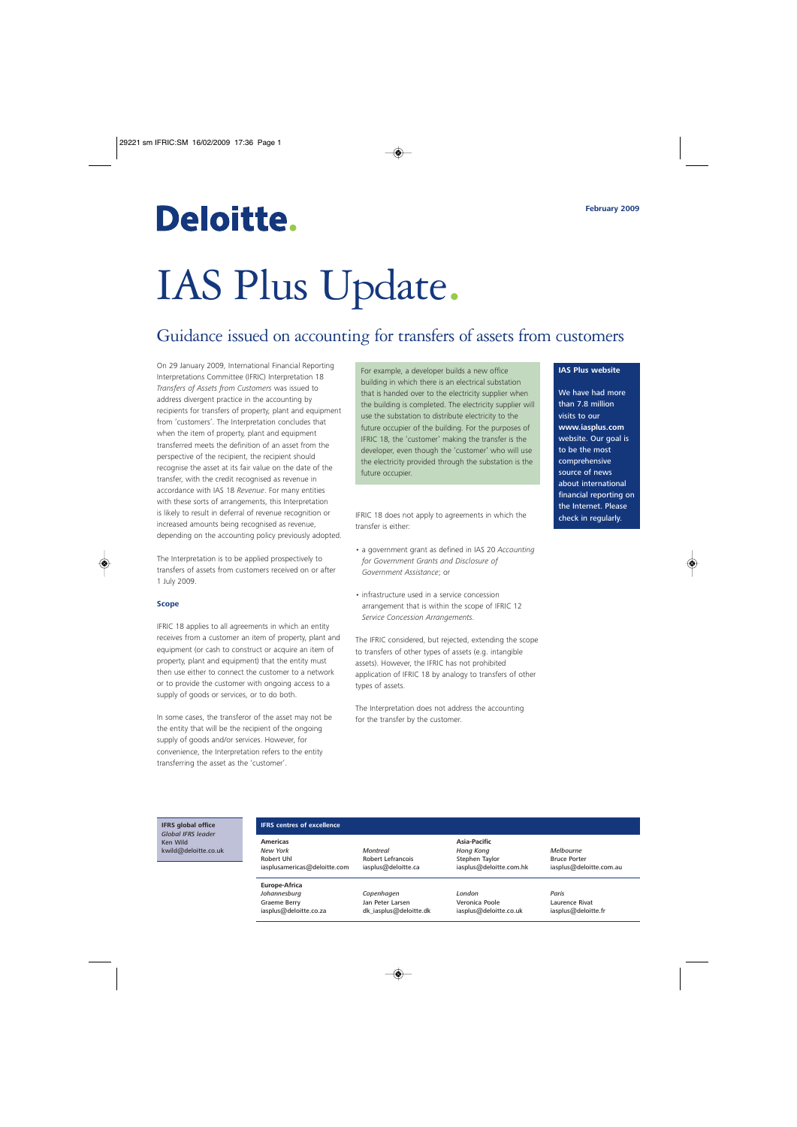## Deloitte.

# IAS Plus Update.

## Guidance issued on accounting for transfers of assets from customers

On 29 January 2009, International Financial Reporting Interpretations Committee (IFRIC) Interpretation 18 *Transfers of Assets from Customers* was issued to address divergent practice in the accounting by recipients for transfers of property, plant and equipment from 'customers'. The Interpretation concludes that when the item of property, plant and equipment transferred meets the definition of an asset from the perspective of the recipient, the recipient should recognise the asset at its fair value on the date of the transfer, with the credit recognised as revenue in accordance with IAS 18 *Revenue*. For many entities with these sorts of arrangements, this Interpretation is likely to result in deferral of revenue recognition or increased amounts being recognised as revenue, depending on the accounting policy previously adopted.

The Interpretation is to be applied prospectively to transfers of assets from customers received on or after 1 July 2009.

#### **Scope**

IFRIC 18 applies to all agreements in which an entity receives from a customer an item of property, plant and equipment (or cash to construct or acquire an item of property, plant and equipment) that the entity must then use either to connect the customer to a network or to provide the customer with ongoing access to a supply of goods or services, or to do both.

In some cases, the transferor of the asset may not be the entity that will be the recipient of the ongoing supply of goods and/or services. However, for convenience, the Interpretation refers to the entity transferring the asset as the 'customer'.

For example, a developer builds a new office building in which there is an electrical substation that is handed over to the electricity supplier when the building is completed. The electricity supplier will use the substation to distribute electricity to the future occupier of the building. For the purposes of IFRIC 18, the 'customer' making the transfer is the developer, even though the 'customer' who will use the electricity provided through the substation is the future occupier.

IFRIC 18 does not apply to agreements in which the transfer is either:

- a government grant as defined in IAS 20 *Accounting for Government Grants and Disclosure of Government Assistance*; or
- infrastructure used in a service concession arrangement that is within the scope of IFRIC 12 *Service Concession Arrangements*.

The IFRIC considered, but rejected, extending the scope to transfers of other types of assets (e.g. intangible assets). However, the IFRIC has not prohibited application of IFRIC 18 by analogy to transfers of other types of assets.

The Interpretation does not address the accounting for the transfer by the customer.

#### **IAS Plus website**

We have had more than 7.8 million visits to our **www.iasplus.com** website. Our goal is to be the most comprehensive source of news about international financial reporting on the Internet. Please check in regularly.

**IFRS global office** *Global IFRS leader* Ken Wild kwild@deloitte.co.uk

#### **IFRS centres of excellence**

**Americas** *New York* Robert Uhl iasplusamericas@deloitte.com

**Europe-Africa** *Johannesburg* Graeme Berry iasplus@deloitte.co.za *Montreal* Robert Lefrancois iasplus@deloitte.ca

> *Copenhagen* Jan Peter Larsen dk\_iasplus@deloitte.dk

**Asia-Pacific** *Hong Kong* Stephen Taylor iasplus@deloitte.com.hk

*London* Veronica Poole iasplus@deloitte.co.uk *Melbourne* Bruce Porter iasplus@deloitte.com.au

*Paris* Laurence Rivat iasplus@deloitte.fr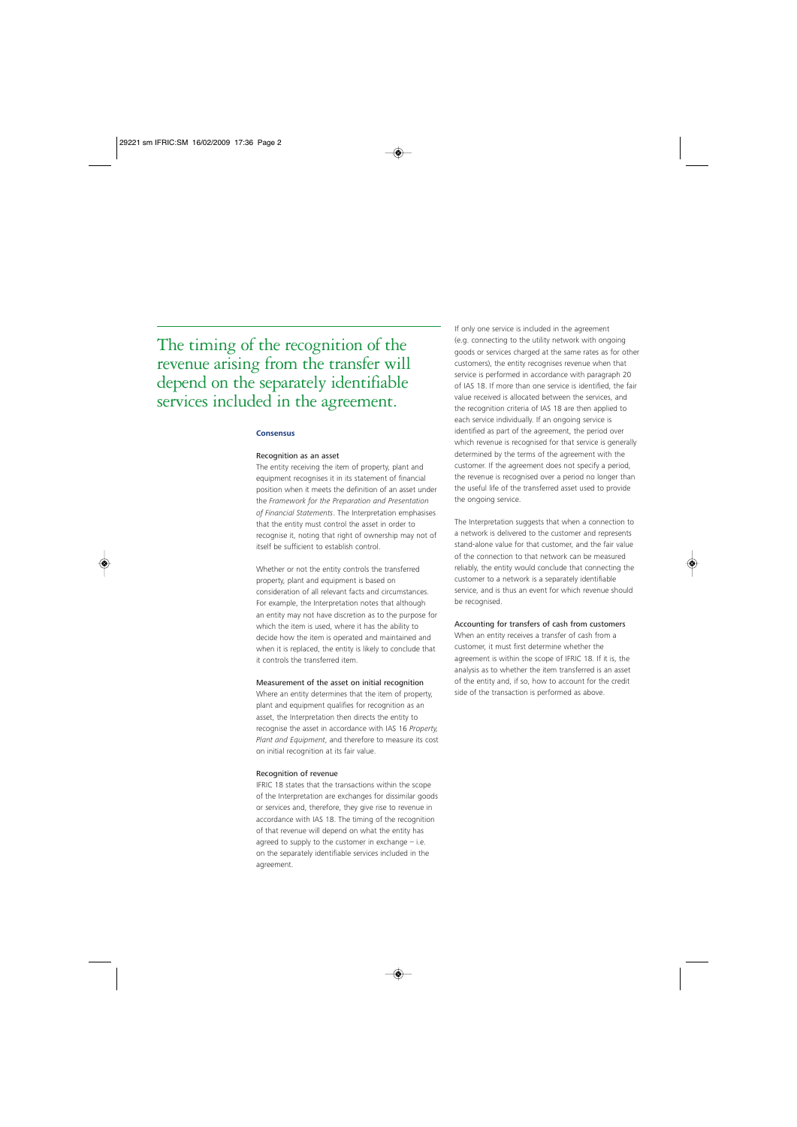### The timing of the recognition of the revenue arising from the transfer will depend on the separately identifiable services included in the agreement.

#### **Consensus**

#### Recognition as an asset

The entity receiving the item of property, plant and equipment recognises it in its statement of financial position when it meets the definition of an asset under the Framework for the Preparation and Presentation *of Financial Statements*. The Interpretation emphasises that the entity must control the asset in order to recognise it, noting that right of ownership may not of itself be sufficient to establish control.

Whether or not the entity controls the transferred property, plant and equipment is based on consideration of all relevant facts and circumstances. For example, the Interpretation notes that although an entity may not have discretion as to the purpose for which the item is used, where it has the ability to decide how the item is operated and maintained and when it is replaced, the entity is likely to conclude that it controls the transferred item.

#### Measurement of the asset on initial recognition

Where an entity determines that the item of property, plant and equipment qualifies for recognition as an asset, the Interpretation then directs the entity to recognise the asset in accordance with IAS 16 *Property, Plant and Equipment*, and therefore to measure its cost on initial recognition at its fair value.

#### Recognition of revenue

IFRIC 18 states that the transactions within the scope of the Interpretation are exchanges for dissimilar goods or services and, therefore, they give rise to revenue in accordance with IAS 18. The timing of the recognition of that revenue will depend on what the entity has agreed to supply to the customer in exchange  $-$  i.e. on the separately identifiable services included in the agreement.

If only one service is included in the agreement (e.g. connecting to the utility network with ongoing goods or services charged at the same rates as for other customers), the entity recognises revenue when that service is performed in accordance with paragraph 20 of IAS 18. If more than one service is identified, the fair value received is allocated between the services, and the recognition criteria of IAS 18 are then applied to each service individually. If an ongoing service is identified as part of the agreement, the period over which revenue is recognised for that service is generally determined by the terms of the agreement with the customer. If the agreement does not specify a period, the revenue is recognised over a period no longer than the useful life of the transferred asset used to provide the ongoing service.

The Interpretation suggests that when a connection to a network is delivered to the customer and represents stand-alone value for that customer, and the fair value of the connection to that network can be measured reliably, the entity would conclude that connecting the customer to a network is a separately identifiable service, and is thus an event for which revenue should be recognised.

#### Accounting for transfers of cash from customers

When an entity receives a transfer of cash from a customer, it must first determine whether the agreement is within the scope of IFRIC 18. If it is, the analysis as to whether the item transferred is an asset of the entity and, if so, how to account for the credit side of the transaction is performed as above.